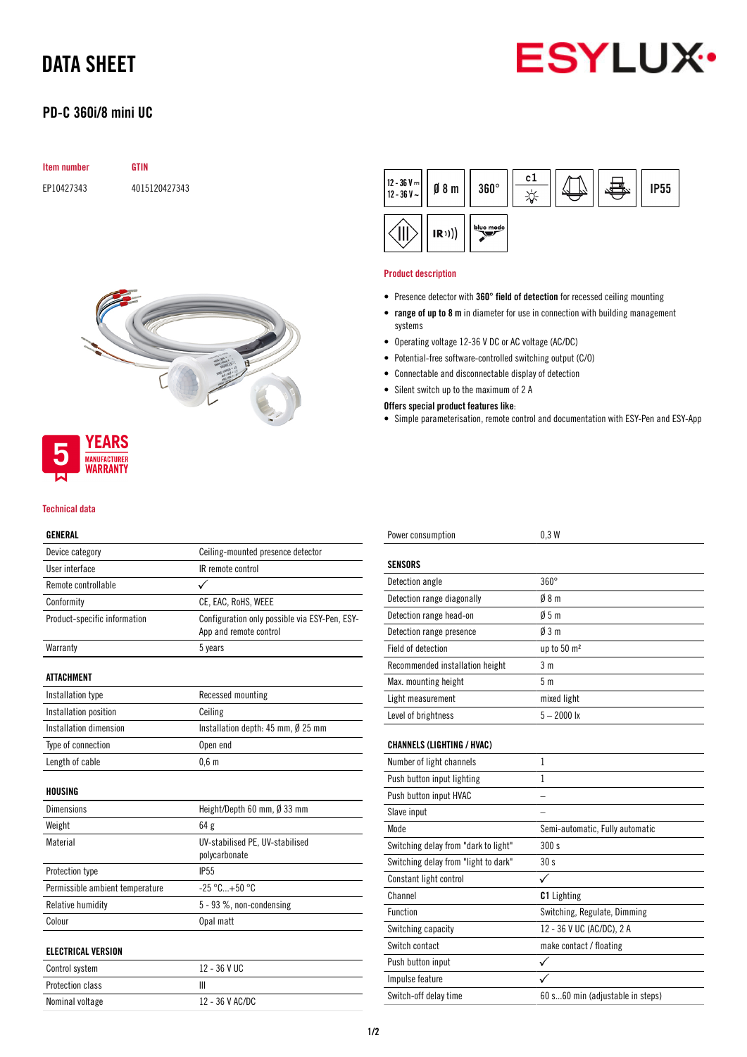

# DATA SHEET

## PD-C 360i/8 mini UC

| <b>Item number</b> | GTIN          |
|--------------------|---------------|
| EP10427343         | 4015120427343 |





#### Technical data

### GENERAL

| Device category                 | Ceiling-mounted presence detector                                       |  |
|---------------------------------|-------------------------------------------------------------------------|--|
| User interface                  | IR remote control                                                       |  |
| Remote controllable             |                                                                         |  |
| Conformity                      | CE, EAC, RoHS, WEEE                                                     |  |
| Product-specific information    | Configuration only possible via ESY-Pen, ESY-<br>App and remote control |  |
| Warranty                        | 5 years                                                                 |  |
| ATTACHMENT                      |                                                                         |  |
| Installation type               | Recessed mounting                                                       |  |
| Installation position           | Ceiling                                                                 |  |
| Installation dimension          | Installation depth: $45$ mm, $\emptyset$ 25 mm                          |  |
| Type of connection              | Open end                                                                |  |
| Length of cable                 | $0,6$ m                                                                 |  |
| HOUSING                         |                                                                         |  |
| <b>Dimensions</b>               | Height/Depth 60 mm, Ø 33 mm                                             |  |
| Weight                          | 64g                                                                     |  |
| Material                        | UV-stabilised PE, UV-stabilised<br>polycarbonate                        |  |
| Protection type                 | <b>IP55</b>                                                             |  |
| Permissible ambient temperature | $-25 °C+50 °C$                                                          |  |
| Relative humidity               | 5 - 93 %, non-condensing                                                |  |
| Colour                          | Opal matt                                                               |  |
| <b>ELECTRICAL VERSION</b>       |                                                                         |  |
| Control system                  | 12 - 36 V UC                                                            |  |
| <b>Protection class</b>         | Ш                                                                       |  |
| Nominal voltage                 | 12 - 36 V AC/DC                                                         |  |

| $\left  \frac{12 - 36 \text{ V} - 1}{12 - 36 \text{ V} - 1} \right $ g 8 m |      | $360^\circ$ | c1 |  | <b>IP55</b> |
|----------------------------------------------------------------------------|------|-------------|----|--|-------------|
|                                                                            | (R)) | blue mode   |    |  |             |

#### Product description

- Presence detector with 360° field of detection for recessed ceiling mounting
- range of up to 8 m in diameter for use in connection with building management systems
- Operating voltage 12-36 V DC or AC voltage (AC/DC)
- Potential-free software-controlled switching output (C/O)
- Connectable and disconnectable display of detection
- Silent switch up to the maximum of 2 A

### Offers special product features like:

• Simple parameterisation, remote control and documentation with ESY-Pen and ESY-App

| Power consumption                    | 0.3W                             |  |
|--------------------------------------|----------------------------------|--|
| <b>SENSORS</b>                       |                                  |  |
| Detection angle                      | $360^\circ$                      |  |
| Detection range diagonally           | $0/8$ m                          |  |
| Detection range head-on              | 05m                              |  |
| Detection range presence             | $\emptyset$ 3 m                  |  |
| Field of detection                   | up to 50 m <sup>2</sup>          |  |
| Recommended installation height      | 3 <sub>m</sub>                   |  |
| Max. mounting height                 | 5 <sub>m</sub>                   |  |
| Light measurement                    | mixed light                      |  |
| Level of brightness                  | $5 - 2000$ lx                    |  |
| <b>CHANNELS (LIGHTING / HVAC)</b>    |                                  |  |
| Number of light channels             | 1                                |  |
| Push button input lighting           | 1                                |  |
| Push button input HVAC               |                                  |  |
| Slave input                          |                                  |  |
| Mode                                 | Semi-automatic, Fully automatic  |  |
| Switching delay from "dark to light" | 300 s                            |  |
| Switching delay from "light to dark" | 30 <sub>s</sub>                  |  |
| Constant light control               | ✓                                |  |
| Channel                              | <b>C1</b> Lighting               |  |
| <b>Function</b>                      | Switching, Regulate, Dimming     |  |
| Switching capacity                   | 12 - 36 V UC (AC/DC), 2 A        |  |
| Switch contact                       | make contact / floating          |  |
| Push button input                    | ✓                                |  |
| Impulse feature                      |                                  |  |
| Switch-off delay time                | 60 s60 min (adjustable in steps) |  |
|                                      |                                  |  |